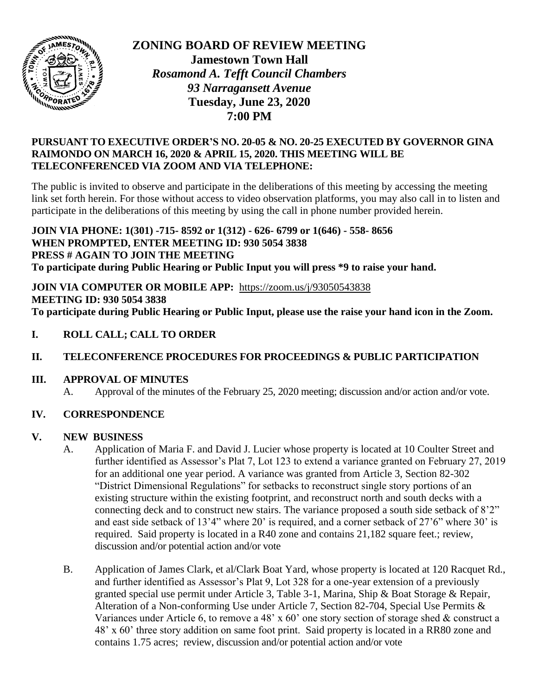

**ZONING BOARD OF REVIEW MEETING Jamestown Town Hall** *Rosamond A. Tefft Council Chambers 93 Narragansett Avenue* **Tuesday, June 23, 2020 7:00 PM**

### **PURSUANT TO EXECUTIVE ORDER'S NO. 20-05 & NO. 20-25 EXECUTED BY GOVERNOR GINA RAIMONDO ON MARCH 16, 2020 & APRIL 15, 2020. THIS MEETING WILL BE TELECONFERENCED VIA ZOOM AND VIA TELEPHONE:**

The public is invited to observe and participate in the deliberations of this meeting by accessing the meeting link set forth herein. For those without access to video observation platforms, you may also call in to listen and participate in the deliberations of this meeting by using the call in phone number provided herein.

#### **JOIN VIA PHONE: 1(301) -715- 8592 or 1(312) - 626- 6799 or 1(646) - 558- 8656 WHEN PROMPTED, ENTER MEETING ID: 930 5054 3838 PRESS # AGAIN TO JOIN THE MEETING To participate during Public Hearing or Public Input you will press \*9 to raise your hand.**

**JOIN VIA COMPUTER OR MOBILE APP:** <https://zoom.us/j/93050543838> **MEETING ID: 930 5054 3838 To participate during Public Hearing or Public Input, please use the raise your hand icon in the Zoom.**

# **I. ROLL CALL; CALL TO ORDER**

# **II. TELECONFERENCE PROCEDURES FOR PROCEEDINGS & PUBLIC PARTICIPATION**

### **III. APPROVAL OF MINUTES**

A. Approval of the minutes of the February 25, 2020 meeting; discussion and/or action and/or vote.

# **IV. CORRESPONDENCE**

### **V. NEW BUSINESS**

- A. Application of Maria F. and David J. Lucier whose property is located at 10 Coulter Street and further identified as Assessor's Plat 7, Lot 123 to extend a variance granted on February 27, 2019 for an additional one year period. A variance was granted from Article 3, Section 82-302 "District Dimensional Regulations" for setbacks to reconstruct single story portions of an existing structure within the existing footprint, and reconstruct north and south decks with a connecting deck and to construct new stairs. The variance proposed a south side setback of 8'2" and east side setback of 13'4" where 20' is required, and a corner setback of 27'6" where 30' is required. Said property is located in a R40 zone and contains 21,182 square feet.; review, discussion and/or potential action and/or vote
- B. Application of James Clark, et al/Clark Boat Yard, whose property is located at 120 Racquet Rd., and further identified as Assessor's Plat 9, Lot 328 for a one-year extension of a previously granted special use permit under Article 3, Table 3-1, Marina, Ship & Boat Storage & Repair, Alteration of a Non-conforming Use under Article 7, Section 82-704, Special Use Permits & Variances under Article 6, to remove a 48' x 60' one story section of storage shed & construct a 48' x 60' three story addition on same foot print. Said property is located in a RR80 zone and contains 1.75 acres; review, discussion and/or potential action and/or vote